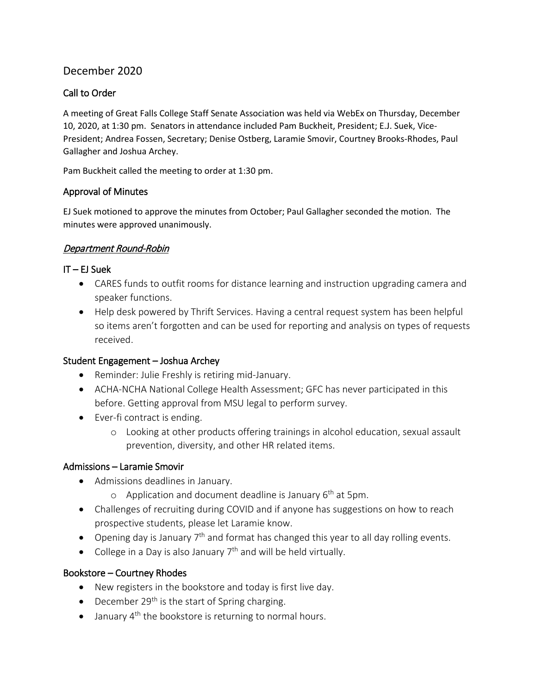# December 2020

## Call to Order

A meeting of Great Falls College Staff Senate Association was held via WebEx on Thursday, December 10, 2020, at 1:30 pm. Senators in attendance included Pam Buckheit, President; E.J. Suek, Vice-President; Andrea Fossen, Secretary; Denise Ostberg, Laramie Smovir, Courtney Brooks-Rhodes, Paul Gallagher and Joshua Archey.

Pam Buckheit called the meeting to order at 1:30 pm.

### Approval of Minutes

EJ Suek motioned to approve the minutes from October; Paul Gallagher seconded the motion. The minutes were approved unanimously.

### Department Round-Robin

#### $IT - EJ$  Suek

- CARES funds to outfit rooms for distance learning and instruction upgrading camera and speaker functions.
- Help desk powered by Thrift Services. Having a central request system has been helpful so items aren't forgotten and can be used for reporting and analysis on types of requests received.

#### Student Engagement – Joshua Archey

- Reminder: Julie Freshly is retiring mid-January.
- ACHA-NCHA National College Health Assessment; GFC has never participated in this before. Getting approval from MSU legal to perform survey.
- Ever-fi contract is ending.
	- o Looking at other products offering trainings in alcohol education, sexual assault prevention, diversity, and other HR related items.

### Admissions – Laramie Smovir

- Admissions deadlines in January.
	- o Application and document deadline is January  $6<sup>th</sup>$  at 5pm.
- Challenges of recruiting during COVID and if anyone has suggestions on how to reach prospective students, please let Laramie know.
- Opening day is January  $7<sup>th</sup>$  and format has changed this year to all day rolling events.
- College in a Day is also January  $7<sup>th</sup>$  and will be held virtually.

### Bookstore – Courtney Rhodes

- New registers in the bookstore and today is first live day.
- December  $29<sup>th</sup>$  is the start of Spring charging.
- $\bullet$  January 4<sup>th</sup> the bookstore is returning to normal hours.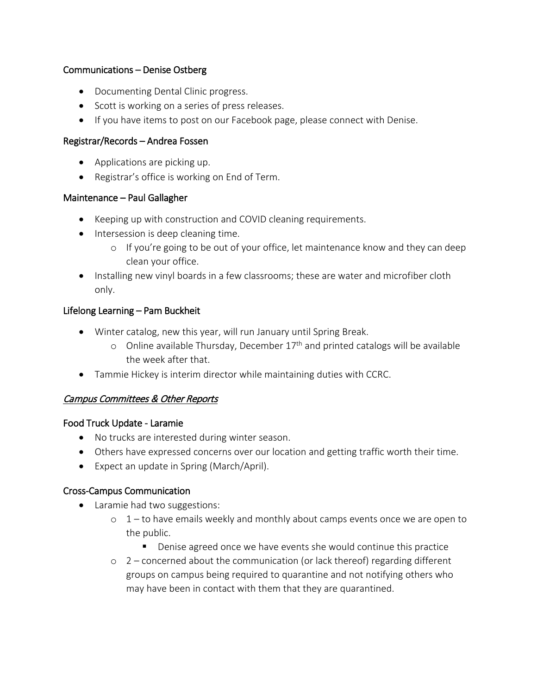### Communications – Denise Ostberg

- Documenting Dental Clinic progress.
- Scott is working on a series of press releases.
- If you have items to post on our Facebook page, please connect with Denise.

### Registrar/Records – Andrea Fossen

- Applications are picking up.
- Registrar's office is working on End of Term.

### Maintenance – Paul Gallagher

- Keeping up with construction and COVID cleaning requirements.
- Intersession is deep cleaning time.
	- o If you're going to be out of your office, let maintenance know and they can deep clean your office.
- Installing new vinyl boards in a few classrooms; these are water and microfiber cloth only.

## Lifelong Learning – Pam Buckheit

- Winter catalog, new this year, will run January until Spring Break.
	- o Online available Thursday, December  $17<sup>th</sup>$  and printed catalogs will be available the week after that.
- Tammie Hickey is interim director while maintaining duties with CCRC.

# Campus Committees & Other Reports

### Food Truck Update - Laramie

- No trucks are interested during winter season.
- Others have expressed concerns over our location and getting traffic worth their time.
- Expect an update in Spring (March/April).

# Cross-Campus Communication

- Laramie had two suggestions:
	- $\circ$  1 to have emails weekly and monthly about camps events once we are open to the public.
		- Denise agreed once we have events she would continue this practice
	- $\circ$  2 concerned about the communication (or lack thereof) regarding different groups on campus being required to quarantine and not notifying others who may have been in contact with them that they are quarantined.